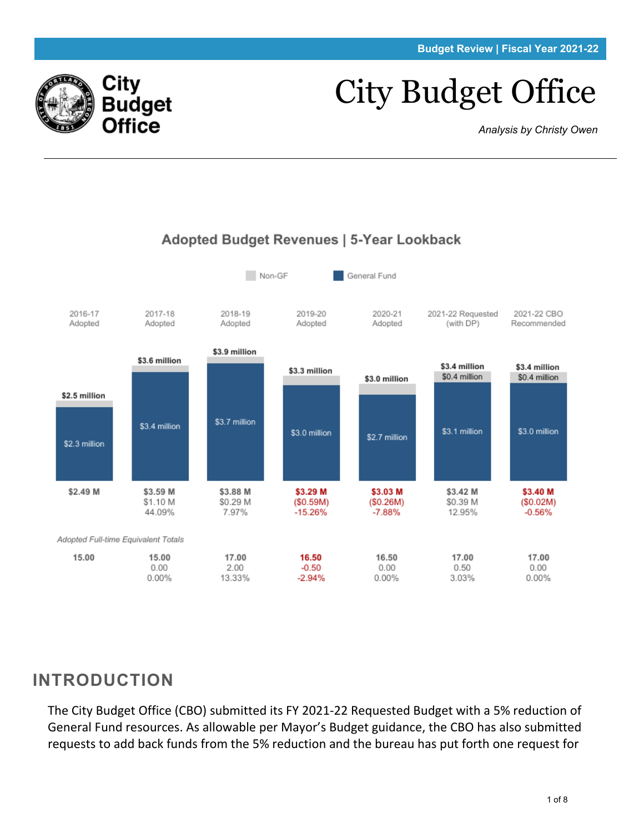# City Budget Office

*Analysis by Christy Owen*



#### Adopted Budget Revenues | 5-Year Lookback

### **INTRODUCTION**

City

Budget **Office** 

The City Budget Office (CBO) submitted its FY 2021-22 Requested Budget with a 5% reduction of General Fund resources. As allowable per Mayor's Budget guidance, the CBO has also submitted requests to add back funds from the 5% reduction and the bureau has put forth one request for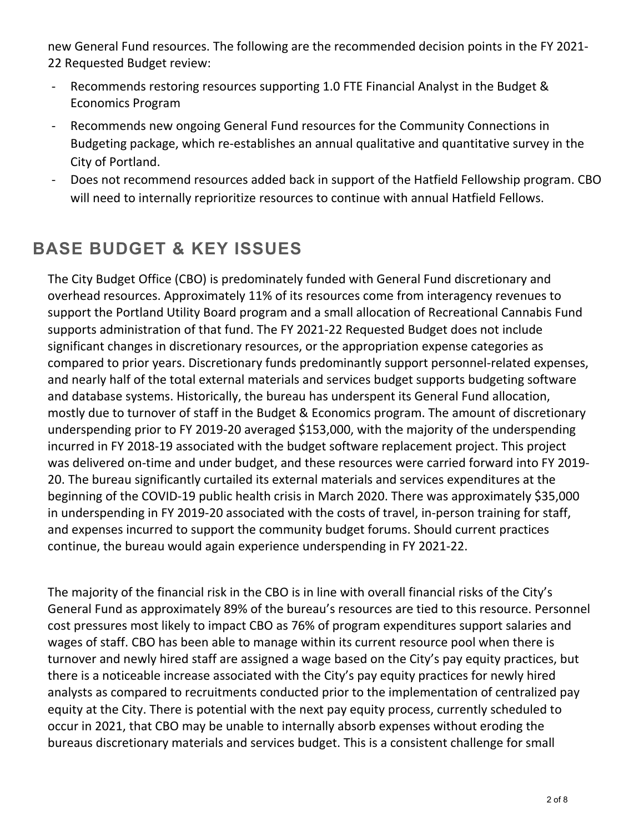new General Fund resources. The following are the recommended decision points in the FY 2021- 22 Requested Budget review:

- Recommends restoring resources supporting 1.0 FTE Financial Analyst in the Budget & Economics Program
- Recommends new ongoing General Fund resources for the Community Connections in Budgeting package, which re-establishes an annual qualitative and quantitative survey in the City of Portland.
- Does not recommend resources added back in support of the Hatfield Fellowship program. CBO will need to internally reprioritize resources to continue with annual Hatfield Fellows.

# **BASE BUDGET & KEY ISSUES**

The City Budget Office (CBO) is predominately funded with General Fund discretionary and overhead resources. Approximately 11% of its resources come from interagency revenues to support the Portland Utility Board program and a small allocation of Recreational Cannabis Fund supports administration of that fund. The FY 2021-22 Requested Budget does not include significant changes in discretionary resources, or the appropriation expense categories as compared to prior years. Discretionary funds predominantly support personnel-related expenses, and nearly half of the total external materials and services budget supports budgeting software and database systems. Historically, the bureau has underspent its General Fund allocation, mostly due to turnover of staff in the Budget & Economics program. The amount of discretionary underspending prior to FY 2019-20 averaged \$153,000, with the majority of the underspending incurred in FY 2018-19 associated with the budget software replacement project. This project was delivered on-time and under budget, and these resources were carried forward into FY 2019- 20. The bureau significantly curtailed its external materials and services expenditures at the beginning of the COVID-19 public health crisis in March 2020. There was approximately \$35,000 in underspending in FY 2019-20 associated with the costs of travel, in-person training for staff, and expenses incurred to support the community budget forums. Should current practices continue, the bureau would again experience underspending in FY 2021-22.

The majority of the financial risk in the CBO is in line with overall financial risks of the City's General Fund as approximately 89% of the bureau's resources are tied to this resource. Personnel cost pressures most likely to impact CBO as 76% of program expenditures support salaries and wages of staff. CBO has been able to manage within its current resource pool when there is turnover and newly hired staff are assigned a wage based on the City's pay equity practices, but there is a noticeable increase associated with the City's pay equity practices for newly hired analysts as compared to recruitments conducted prior to the implementation of centralized pay equity at the City. There is potential with the next pay equity process, currently scheduled to occur in 2021, that CBO may be unable to internally absorb expenses without eroding the bureaus discretionary materials and services budget. This is a consistent challenge for small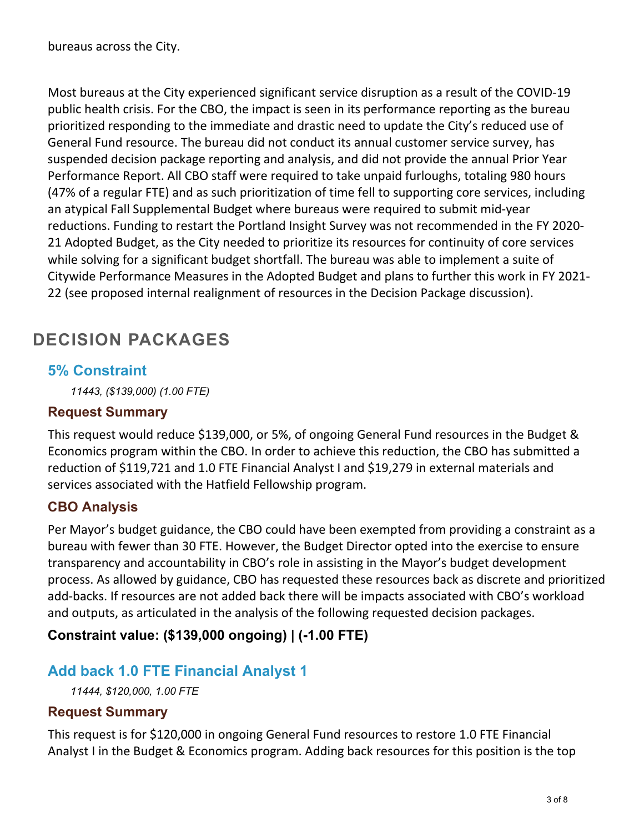bureaus across the City.

Most bureaus at the City experienced significant service disruption as a result of the COVID-19 public health crisis. For the CBO, the impact is seen in its performance reporting as the bureau prioritized responding to the immediate and drastic need to update the City's reduced use of General Fund resource. The bureau did not conduct its annual customer service survey, has suspended decision package reporting and analysis, and did not provide the annual Prior Year Performance Report. All CBO staff were required to take unpaid furloughs, totaling 980 hours (47% of a regular FTE) and as such prioritization of time fell to supporting core services, including an atypical Fall Supplemental Budget where bureaus were required to submit mid-year reductions. Funding to restart the Portland Insight Survey was not recommended in the FY 2020- 21 Adopted Budget, as the City needed to prioritize its resources for continuity of core services while solving for a significant budget shortfall. The bureau was able to implement a suite of Citywide Performance Measures in the Adopted Budget and plans to further this work in FY 2021- 22 (see proposed internal realignment of resources in the Decision Package discussion).

## **DECISION PACKAGES**

#### **5% Constraint**

*11443, (\$139,000) (1.00 FTE)*

#### **Request Summary**

This request would reduce \$139,000, or 5%, of ongoing General Fund resources in the Budget & Economics program within the CBO. In order to achieve this reduction, the CBO has submitted a reduction of \$119,721 and 1.0 FTE Financial Analyst I and \$19,279 in external materials and services associated with the Hatfield Fellowship program.

#### **CBO Analysis**

Per Mayor's budget guidance, the CBO could have been exempted from providing a constraint as a bureau with fewer than 30 FTE. However, the Budget Director opted into the exercise to ensure transparency and accountability in CBO's role in assisting in the Mayor's budget development process. As allowed by guidance, CBO has requested these resources back as discrete and prioritized add-backs. If resources are not added back there will be impacts associated with CBO's workload and outputs, as articulated in the analysis of the following requested decision packages.

**Constraint value: (\$139,000 ongoing) | (-1.00 FTE)** 

#### **Add back 1.0 FTE Financial Analyst 1**

*11444, \$120,000, 1.00 FTE*

#### **Request Summary**

This request is for \$120,000 in ongoing General Fund resources to restore 1.0 FTE Financial Analyst I in the Budget & Economics program. Adding back resources for this position is the top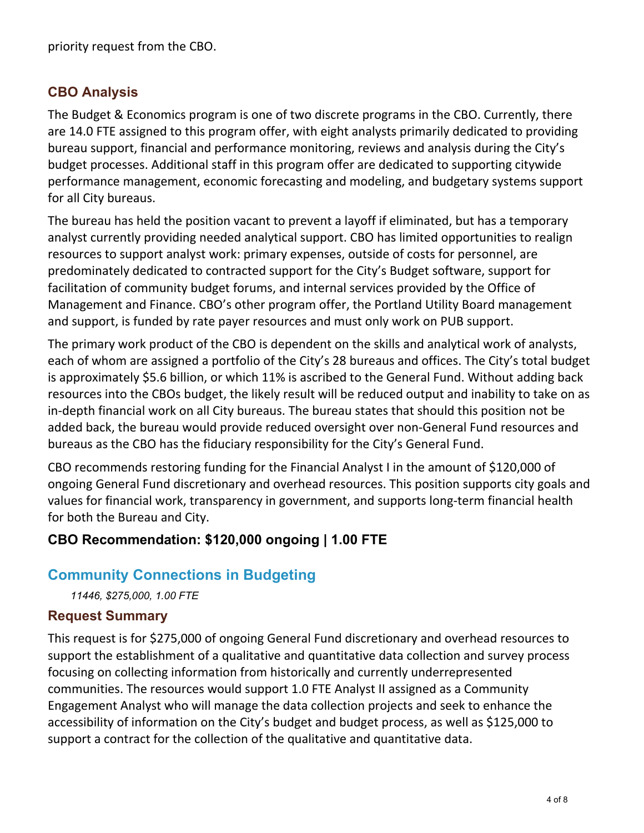#### **CBO Analysis**

The Budget & Economics program is one of two discrete programs in the CBO. Currently, there are 14.0 FTE assigned to this program offer, with eight analysts primarily dedicated to providing bureau support, financial and performance monitoring, reviews and analysis during the City's budget processes. Additional staff in this program offer are dedicated to supporting citywide performance management, economic forecasting and modeling, and budgetary systems support for all City bureaus.

The bureau has held the position vacant to prevent a layoff if eliminated, but has a temporary analyst currently providing needed analytical support. CBO has limited opportunities to realign resources to support analyst work: primary expenses, outside of costs for personnel, are predominately dedicated to contracted support for the City's Budget software, support for facilitation of community budget forums, and internal services provided by the Office of Management and Finance. CBO's other program offer, the Portland Utility Board management and support, is funded by rate payer resources and must only work on PUB support.

The primary work product of the CBO is dependent on the skills and analytical work of analysts, each of whom are assigned a portfolio of the City's 28 bureaus and offices. The City's total budget is approximately \$5.6 billion, or which 11% is ascribed to the General Fund. Without adding back resources into the CBOs budget, the likely result will be reduced output and inability to take on as in-depth financial work on all City bureaus. The bureau states that should this position not be added back, the bureau would provide reduced oversight over non-General Fund resources and bureaus as the CBO has the fiduciary responsibility for the City's General Fund.

CBO recommends restoring funding for the Financial Analyst I in the amount of \$120,000 of ongoing General Fund discretionary and overhead resources. This position supports city goals and values for financial work, transparency in government, and supports long-term financial health for both the Bureau and City.

#### **CBO Recommendation: \$120,000 ongoing | 1.00 FTE**

#### **Community Connections in Budgeting**

*11446, \$275,000, 1.00 FTE*

#### **Request Summary**

This request is for \$275,000 of ongoing General Fund discretionary and overhead resources to support the establishment of a qualitative and quantitative data collection and survey process focusing on collecting information from historically and currently underrepresented communities. The resources would support 1.0 FTE Analyst II assigned as a Community Engagement Analyst who will manage the data collection projects and seek to enhance the accessibility of information on the City's budget and budget process, as well as \$125,000 to support a contract for the collection of the qualitative and quantitative data.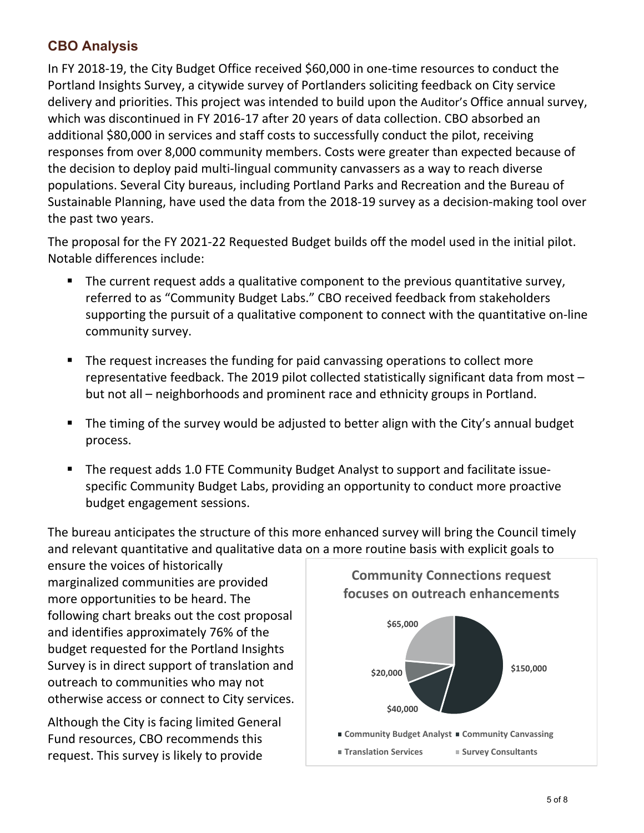#### **CBO Analysis**

In FY 2018-19, the City Budget Office received \$60,000 in one-time resources to conduct the Portland Insights Survey, a citywide survey of Portlanders soliciting feedback on City service delivery and priorities. This project was intended to build upon the Auditor's Office annual survey, which was discontinued in FY 2016-17 after 20 years of data collection. CBO absorbed an additional \$80,000 in services and staff costs to successfully conduct the pilot, receiving responses from over 8,000 community members. Costs were greater than expected because of the decision to deploy paid multi-lingual community canvassers as a way to reach diverse populations. Several City bureaus, including Portland Parks and Recreation and the Bureau of Sustainable Planning, have used the data from the 2018-19 survey as a decision-making tool over the past two years.

The proposal for the FY 2021-22 Requested Budget builds off the model used in the initial pilot. Notable differences include:

- The current request adds a qualitative component to the previous quantitative survey, referred to as "Community Budget Labs." CBO received feedback from stakeholders supporting the pursuit of a qualitative component to connect with the quantitative on-line community survey.
- The request increases the funding for paid canvassing operations to collect more representative feedback. The 2019 pilot collected statistically significant data from most – but not all – neighborhoods and prominent race and ethnicity groups in Portland.
- The timing of the survey would be adjusted to better align with the City's annual budget process.
- The request adds 1.0 FTE Community Budget Analyst to support and facilitate issuespecific Community Budget Labs, providing an opportunity to conduct more proactive budget engagement sessions.

The bureau anticipates the structure of this more enhanced survey will bring the Council timely and relevant quantitative and qualitative data on a more routine basis with explicit goals to

ensure the voices of historically marginalized communities are provided more opportunities to be heard. The following chart breaks out the cost proposal and identifies approximately 76% of the budget requested for the Portland Insights Survey is in direct support of translation and outreach to communities who may not otherwise access or connect to City services.

Although the City is facing limited General Fund resources, CBO recommends this request. This survey is likely to provide

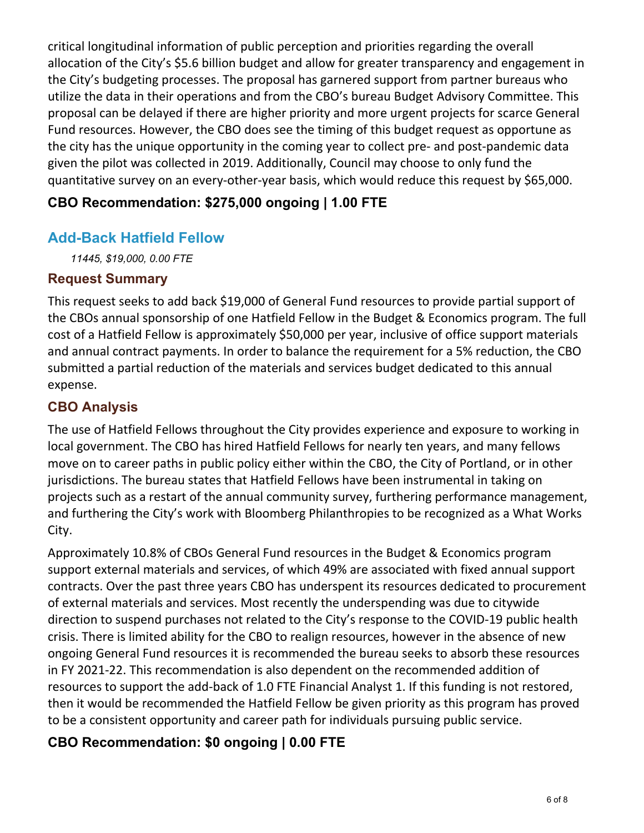critical longitudinal information of public perception and priorities regarding the overall allocation of the City's \$5.6 billion budget and allow for greater transparency and engagement in the City's budgeting processes. The proposal has garnered support from partner bureaus who utilize the data in their operations and from the CBO's bureau Budget Advisory Committee. This proposal can be delayed if there are higher priority and more urgent projects for scarce General Fund resources. However, the CBO does see the timing of this budget request as opportune as the city has the unique opportunity in the coming year to collect pre- and post-pandemic data given the pilot was collected in 2019. Additionally, Council may choose to only fund the quantitative survey on an every-other-year basis, which would reduce this request by \$65,000.

#### **CBO Recommendation: \$275,000 ongoing | 1.00 FTE**

#### **Add-Back Hatfield Fellow**

*11445, \$19,000, 0.00 FTE*

#### **Request Summary**

This request seeks to add back \$19,000 of General Fund resources to provide partial support of the CBOs annual sponsorship of one Hatfield Fellow in the Budget & Economics program. The full cost of a Hatfield Fellow is approximately \$50,000 per year, inclusive of office support materials and annual contract payments. In order to balance the requirement for a 5% reduction, the CBO submitted a partial reduction of the materials and services budget dedicated to this annual expense.

#### **CBO Analysis**

The use of Hatfield Fellows throughout the City provides experience and exposure to working in local government. The CBO has hired Hatfield Fellows for nearly ten years, and many fellows move on to career paths in public policy either within the CBO, the City of Portland, or in other jurisdictions. The bureau states that Hatfield Fellows have been instrumental in taking on projects such as a restart of the annual community survey, furthering performance management, and furthering the City's work with Bloomberg Philanthropies to be recognized as a What Works City.

Approximately 10.8% of CBOs General Fund resources in the Budget & Economics program support external materials and services, of which 49% are associated with fixed annual support contracts. Over the past three years CBO has underspent its resources dedicated to procurement of external materials and services. Most recently the underspending was due to citywide direction to suspend purchases not related to the City's response to the COVID-19 public health crisis. There is limited ability for the CBO to realign resources, however in the absence of new ongoing General Fund resources it is recommended the bureau seeks to absorb these resources in FY 2021-22. This recommendation is also dependent on the recommended addition of resources to support the add-back of 1.0 FTE Financial Analyst 1. If this funding is not restored, then it would be recommended the Hatfield Fellow be given priority as this program has proved to be a consistent opportunity and career path for individuals pursuing public service.

#### **CBO Recommendation: \$0 ongoing | 0.00 FTE**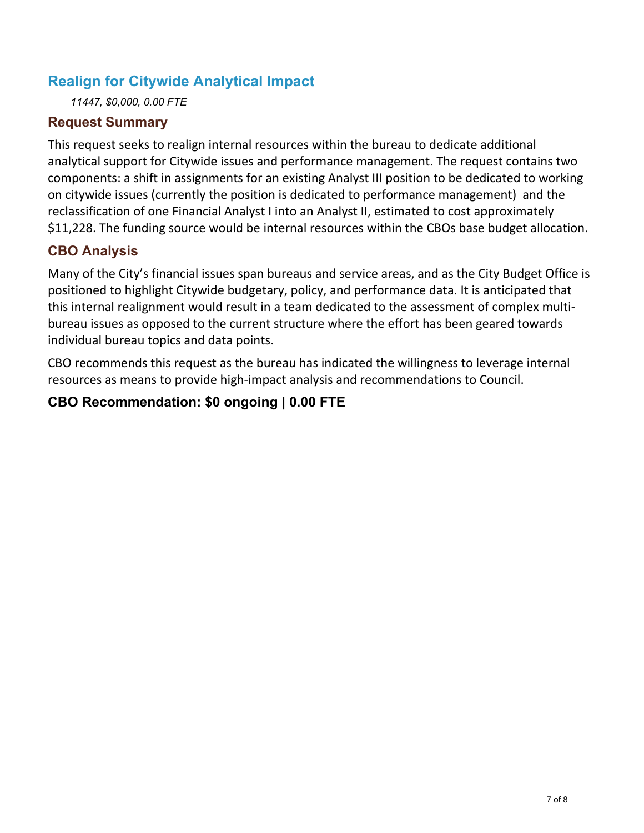#### **Realign for Citywide Analytical Impact**

*11447, \$0,000, 0.00 FTE*

#### **Request Summary**

This request seeks to realign internal resources within the bureau to dedicate additional analytical support for Citywide issues and performance management. The request contains two components: a shift in assignments for an existing Analyst III position to be dedicated to working on citywide issues (currently the position is dedicated to performance management) and the reclassification of one Financial Analyst I into an Analyst II, estimated to cost approximately \$11,228. The funding source would be internal resources within the CBOs base budget allocation.

#### **CBO Analysis**

Many of the City's financial issues span bureaus and service areas, and as the City Budget Office is positioned to highlight Citywide budgetary, policy, and performance data. It is anticipated that this internal realignment would result in a team dedicated to the assessment of complex multibureau issues as opposed to the current structure where the effort has been geared towards individual bureau topics and data points.

CBO recommends this request as the bureau has indicated the willingness to leverage internal resources as means to provide high-impact analysis and recommendations to Council.

#### **CBO Recommendation: \$0 ongoing | 0.00 FTE**